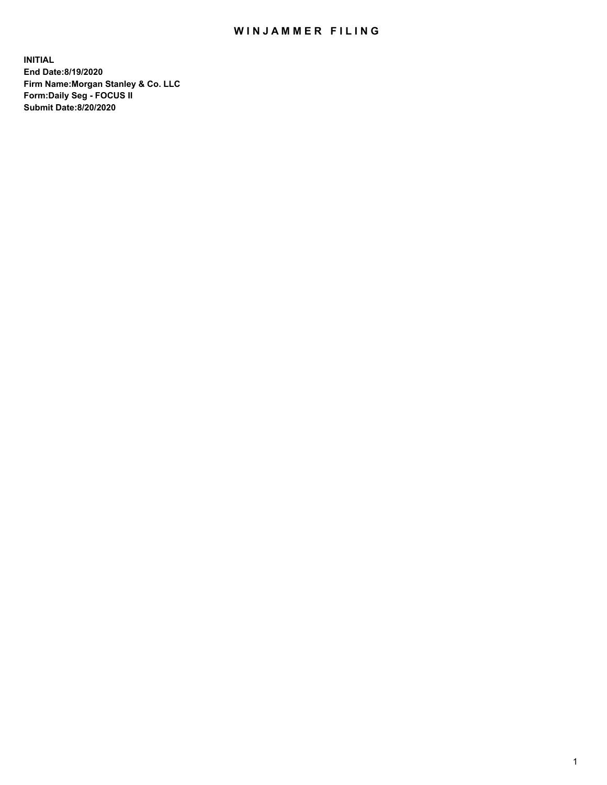## WIN JAMMER FILING

**INITIAL End Date:8/19/2020 Firm Name:Morgan Stanley & Co. LLC Form:Daily Seg - FOCUS II Submit Date:8/20/2020**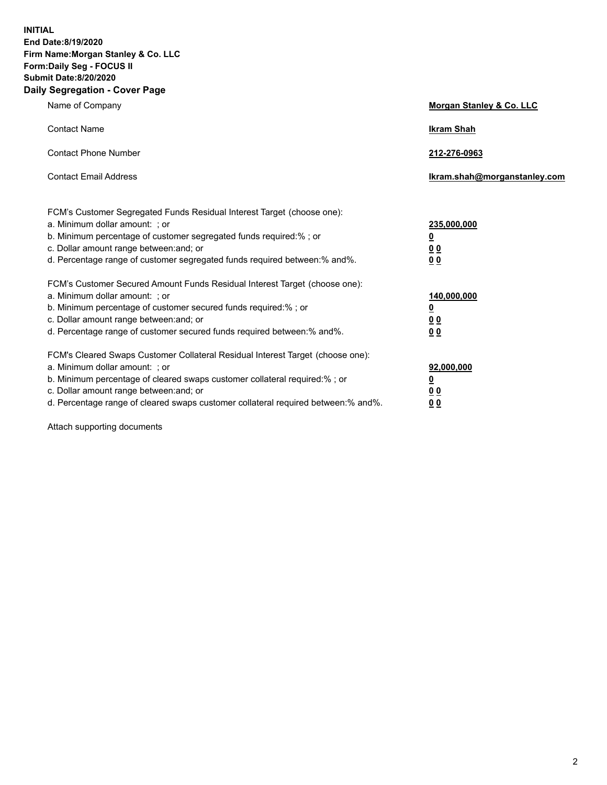**INITIAL End Date:8/19/2020 Firm Name:Morgan Stanley & Co. LLC Form:Daily Seg - FOCUS II Submit Date:8/20/2020 Daily Segregation - Cover Page**

| Name of Company                                                                                                                                                                                                                                                                                                                | Morgan Stanley & Co. LLC                                |
|--------------------------------------------------------------------------------------------------------------------------------------------------------------------------------------------------------------------------------------------------------------------------------------------------------------------------------|---------------------------------------------------------|
| <b>Contact Name</b>                                                                                                                                                                                                                                                                                                            | <b>Ikram Shah</b>                                       |
| <b>Contact Phone Number</b>                                                                                                                                                                                                                                                                                                    | 212-276-0963                                            |
| <b>Contact Email Address</b>                                                                                                                                                                                                                                                                                                   | Ikram.shah@morganstanley.com                            |
| FCM's Customer Segregated Funds Residual Interest Target (choose one):<br>a. Minimum dollar amount: ; or<br>b. Minimum percentage of customer segregated funds required:% ; or<br>c. Dollar amount range between: and; or<br>d. Percentage range of customer segregated funds required between:% and%.                         | 235,000,000<br><u>0</u><br><u>00</u><br><u>00</u>       |
| FCM's Customer Secured Amount Funds Residual Interest Target (choose one):<br>a. Minimum dollar amount: ; or<br>b. Minimum percentage of customer secured funds required:%; or<br>c. Dollar amount range between: and; or<br>d. Percentage range of customer secured funds required between:% and%.                            | 140,000,000<br><u>0</u><br><u>0 0</u><br>0 <sub>0</sub> |
| FCM's Cleared Swaps Customer Collateral Residual Interest Target (choose one):<br>a. Minimum dollar amount: ; or<br>b. Minimum percentage of cleared swaps customer collateral required:% ; or<br>c. Dollar amount range between: and; or<br>d. Percentage range of cleared swaps customer collateral required between:% and%. | 92,000,000<br><u>0</u><br><u>00</u><br>00               |

Attach supporting documents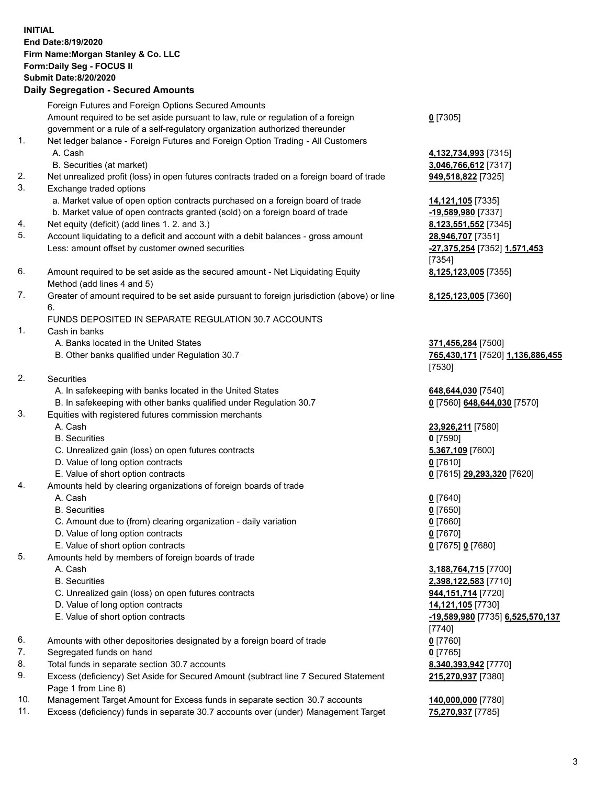| <b>INITIAL</b> | End Date:8/19/2020<br>Firm Name: Morgan Stanley & Co. LLC<br>Form: Daily Seg - FOCUS II<br><b>Submit Date:8/20/2020</b><br><b>Daily Segregation - Secured Amounts</b> |                                                                  |
|----------------|-----------------------------------------------------------------------------------------------------------------------------------------------------------------------|------------------------------------------------------------------|
|                | Foreign Futures and Foreign Options Secured Amounts                                                                                                                   |                                                                  |
|                | Amount required to be set aside pursuant to law, rule or regulation of a foreign<br>government or a rule of a self-regulatory organization authorized thereunder      | $0$ [7305]                                                       |
| 1.             | Net ledger balance - Foreign Futures and Foreign Option Trading - All Customers<br>A. Cash                                                                            | 4,132,734,993 [7315]                                             |
|                | B. Securities (at market)                                                                                                                                             | 3,046,766,612 [7317]                                             |
| 2.<br>3.       | Net unrealized profit (loss) in open futures contracts traded on a foreign board of trade<br>Exchange traded options                                                  | 949,518,822 [7325]                                               |
|                | a. Market value of open option contracts purchased on a foreign board of trade                                                                                        | 14,121,105 [7335]                                                |
|                | b. Market value of open contracts granted (sold) on a foreign board of trade                                                                                          | -19,589,980 [7337]                                               |
| 4.             | Net equity (deficit) (add lines 1. 2. and 3.)                                                                                                                         | 8,123,551,552 [7345]                                             |
| 5.             | Account liquidating to a deficit and account with a debit balances - gross amount<br>Less: amount offset by customer owned securities                                 | 28,946,707 [7351]<br>-27,375,254 [7352] 1,571,453<br>[7354]      |
| 6.             | Amount required to be set aside as the secured amount - Net Liquidating Equity<br>Method (add lines 4 and 5)                                                          | 8,125,123,005 [7355]                                             |
| 7.             | Greater of amount required to be set aside pursuant to foreign jurisdiction (above) or line<br>6.                                                                     | 8,125,123,005 [7360]                                             |
|                | FUNDS DEPOSITED IN SEPARATE REGULATION 30.7 ACCOUNTS                                                                                                                  |                                                                  |
| 1.             | Cash in banks                                                                                                                                                         |                                                                  |
|                | A. Banks located in the United States<br>B. Other banks qualified under Regulation 30.7                                                                               | 371,456,284 [7500]<br>765,430,171 [7520] 1,136,886,455<br>[7530] |
| 2.             | <b>Securities</b>                                                                                                                                                     |                                                                  |
|                | A. In safekeeping with banks located in the United States                                                                                                             | 648,644,030 [7540]                                               |
|                | B. In safekeeping with other banks qualified under Regulation 30.7                                                                                                    | 0 [7560] 648,644,030 [7570]                                      |
| 3.             | Equities with registered futures commission merchants                                                                                                                 |                                                                  |
|                | A. Cash                                                                                                                                                               | 23,926,211 [7580]                                                |
|                | <b>B.</b> Securities                                                                                                                                                  | $0$ [7590]                                                       |
|                | C. Unrealized gain (loss) on open futures contracts<br>D. Value of long option contracts                                                                              | 5,367,109 [7600]<br>$0$ [7610]                                   |
|                | E. Value of short option contracts                                                                                                                                    | 0 [7615] 29,293,320 [7620]                                       |
| 4.             | Amounts held by clearing organizations of foreign boards of trade                                                                                                     |                                                                  |
|                | A. Cash                                                                                                                                                               | $0$ [7640]                                                       |
|                | <b>B.</b> Securities                                                                                                                                                  | $0$ [7650]                                                       |
|                | C. Amount due to (from) clearing organization - daily variation                                                                                                       | $0$ [7660]                                                       |
|                | D. Value of long option contracts                                                                                                                                     | $0$ [7670]                                                       |
|                | E. Value of short option contracts                                                                                                                                    | 0 [7675] 0 [7680]                                                |
| 5.             | Amounts held by members of foreign boards of trade                                                                                                                    |                                                                  |
|                | A. Cash                                                                                                                                                               | 3,188,764,715 [7700]                                             |
|                | <b>B.</b> Securities                                                                                                                                                  | 2,398,122,583 [7710]                                             |
|                | C. Unrealized gain (loss) on open futures contracts<br>D. Value of long option contracts                                                                              | 944,151,714 [7720]<br>14,121,105 [7730]                          |
|                | E. Value of short option contracts                                                                                                                                    | -19,589,980 [7735] 6,525,570,137                                 |
|                |                                                                                                                                                                       | $[7740]$                                                         |
| 6.             | Amounts with other depositories designated by a foreign board of trade                                                                                                | $0$ [7760]                                                       |
| 7.             | Segregated funds on hand                                                                                                                                              | $0$ [7765]                                                       |
| 8.             | Total funds in separate section 30.7 accounts                                                                                                                         | 8,340,393,942 [7770]                                             |
| 9.             | Excess (deficiency) Set Aside for Secured Amount (subtract line 7 Secured Statement<br>Page 1 from Line 8)                                                            | 215,270,937 [7380]                                               |

- 10. Management Target Amount for Excess funds in separate section 30.7 accounts **140,000,000** [7780]
- 11. Excess (deficiency) funds in separate 30.7 accounts over (under) Management Target **75,270,937** [7785]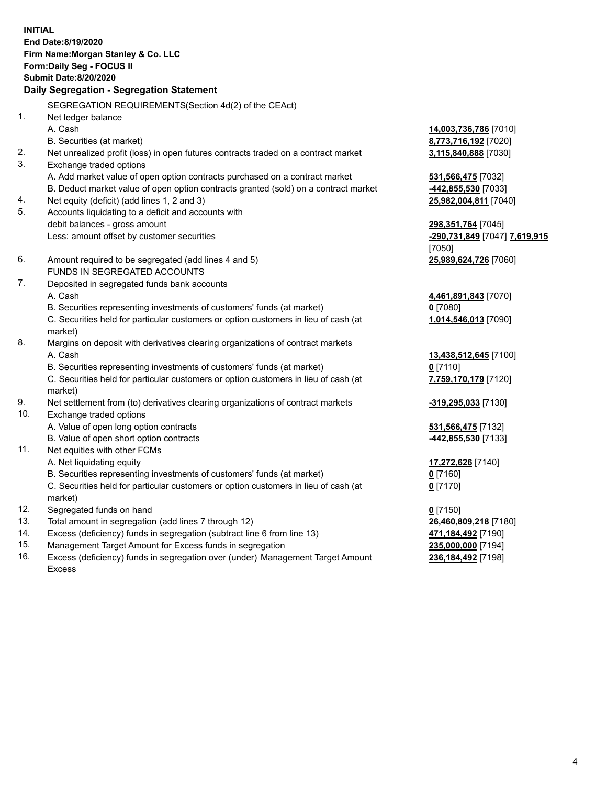**INITIAL End Date:8/19/2020 Firm Name:Morgan Stanley & Co. LLC Form:Daily Seg - FOCUS II Submit Date:8/20/2020 Daily Segregation - Segregation Statement** SEGREGATION REQUIREMENTS(Section 4d(2) of the CEAct) 1. Net ledger balance A. Cash **14,003,736,786** [7010] B. Securities (at market) **8,773,716,192** [7020] 2. Net unrealized profit (loss) in open futures contracts traded on a contract market **3,115,840,888** [7030] 3. Exchange traded options A. Add market value of open option contracts purchased on a contract market **531,566,475** [7032] B. Deduct market value of open option contracts granted (sold) on a contract market **-442,855,530** [7033] 4. Net equity (deficit) (add lines 1, 2 and 3) **25,982,004,811** [7040] 5. Accounts liquidating to a deficit and accounts with debit balances - gross amount **298,351,764** [7045] Less: amount offset by customer securities **-290,731,849** [7047] **7,619,915** [7050] 6. Amount required to be segregated (add lines 4 and 5) **25,989,624,726** [7060] FUNDS IN SEGREGATED ACCOUNTS 7. Deposited in segregated funds bank accounts A. Cash **4,461,891,843** [7070] B. Securities representing investments of customers' funds (at market) **0** [7080] C. Securities held for particular customers or option customers in lieu of cash (at market) **1,014,546,013** [7090] 8. Margins on deposit with derivatives clearing organizations of contract markets A. Cash **13,438,512,645** [7100] B. Securities representing investments of customers' funds (at market) **0** [7110] C. Securities held for particular customers or option customers in lieu of cash (at market) **7,759,170,179** [7120] 9. Net settlement from (to) derivatives clearing organizations of contract markets **-319,295,033** [7130] 10. Exchange traded options A. Value of open long option contracts **531,566,475** [7132] B. Value of open short option contracts **-442,855,530** [7133] 11. Net equities with other FCMs A. Net liquidating equity **17,272,626** [7140] B. Securities representing investments of customers' funds (at market) **0** [7160] C. Securities held for particular customers or option customers in lieu of cash (at market) **0** [7170] 12. Segregated funds on hand **0** [7150] 13. Total amount in segregation (add lines 7 through 12) **26,460,809,218** [7180] 14. Excess (deficiency) funds in segregation (subtract line 6 from line 13) **471,184,492** [7190] 15. Management Target Amount for Excess funds in segregation **235,000,000** [7194]

16. Excess (deficiency) funds in segregation over (under) Management Target Amount Excess

**236,184,492** [7198]